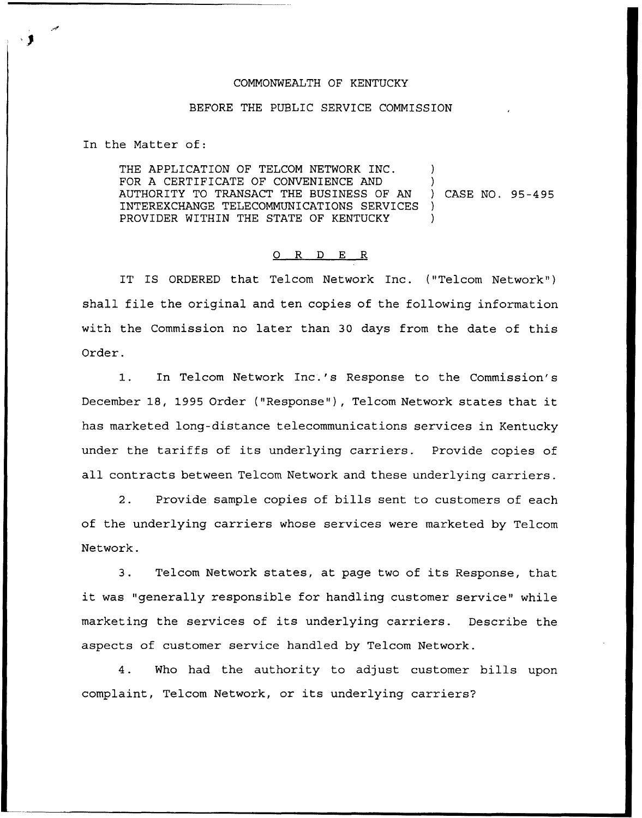## COMMONWEALTH OF KENTUCKY

## BEFORE THE PUBLIC SERVICE COMMISSION

In the Matter of:

THE APPLICATION OF TELCOM NETWORK INC. FOR A CERTIFICATE OF CONVENIENCE AND )<br>AUTHORITY TO TRANSACT THE BUSINESS OF AN ) CASE NO. 95-495 AUTHORITY TO TRANSACT THE BUSINESS OF AN INTEREXCHANGE TELECOMMUNICATIONS SERVICES ) PROVIDER WITHIN THE STATE OF KENTUCKY

## 0 <sup>R</sup> <sup>D</sup> E R

IT IS ORDERED that Telcom Network Inc. ("Telcom Network" ) shall file the original and ten copies of the following information with the Commission no later than 30 days from the date of this Order.

1. In Telcom Network Inc.'s Response to the Commission's December 18, 1995 Order ("Response"), Telcom Network states that it has marketed long-distance telecommunications services in Kentucky under the tariffs of its underlying carriers. Provide copies of all contracts between Telcom Network and these underlying carriers.

2. Provide sample copies of bills sent to customers of each of the underlying carriers whose services were marketed by Telcom Network.

3. Telcom Network states, at page two of its Response, that it was "generally responsible for handling customer service" while marketing the services of its underlying carriers. Describe the aspects of customer service handled by Telcom Network.

4. Who had the authority to adjust customer bills upon complaint, Telcom Network, or its underlying carriers?